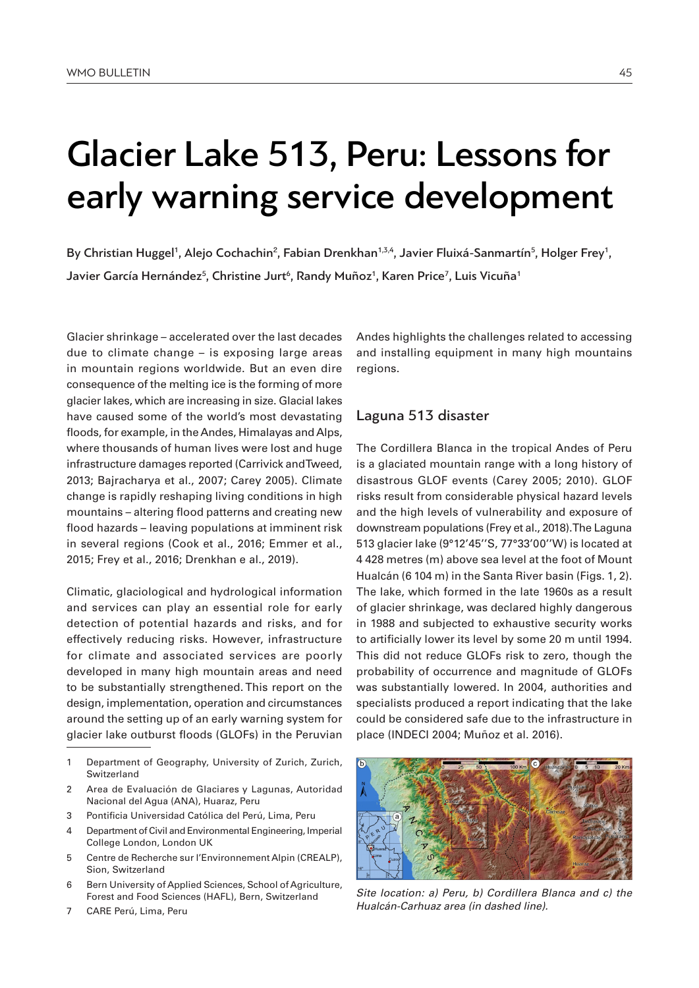# Glacier Lake 513, Peru: Lessons for early warning service development

By Christian Huggel<sup>1</sup>, Alejo Cochachin<sup>2</sup>, Fabian Drenkhan<sup>1,3,4</sup>, Javier Fluixá-Sanmartín<sup>5</sup>, Holger Frey<sup>1</sup>, Javier García Hernández<sup>5</sup>, Christine Jurt<sup>6</sup>, Randy Muñoz<sup>1</sup>, Karen Price<sup>7</sup>, Luis Vicuña<sup>1</sup>

Glacier shrinkage – accelerated over the last decades due to climate change – is exposing large areas in mountain regions worldwide. But an even dire consequence of the melting ice is the forming of more glacier lakes, which are increasing in size. Glacial lakes have caused some of the world's most devastating floods, for example, in the Andes, Himalayas and Alps, where thousands of human lives were lost and huge infrastructure damages reported (Carrivick and Tweed, 2013; Bajracharya et al., 2007; Carey 2005). Climate change is rapidly reshaping living conditions in high mountains – altering flood patterns and creating new flood hazards – leaving populations at imminent risk in several regions (Cook et al., 2016; Emmer et al., 2015; Frey et al., 2016; Drenkhan e al., 2019).

Climatic, glaciological and hydrological information and services can play an essential role for early detection of potential hazards and risks, and for effectively reducing risks. However, infrastructure for climate and associated services are poorly developed in many high mountain areas and need to be substantially strengthened. This report on the design, implementation, operation and circumstances around the setting up of an early warning system for glacier lake outburst floods (GLOFs) in the Peruvian

- 2 Area de Evaluación de Glaciares y Lagunas, Autoridad Nacional del Agua (ANA), Huaraz, Peru
- 3 Pontificia Universidad Católica del Perú, Lima, Peru
- 4 Department of Civil and Environmental Engineering, Imperial College London, London UK
- 5 Centre de Recherche sur l'Environnement Alpin (CREALP), Sion, Switzerland
- 6 Bern University of Applied Sciences, School of Agriculture, Forest and Food Sciences (HAFL), Bern, Switzerland
- 7 CARE Perú, Lima, Peru

Andes highlights the challenges related to accessing and installing equipment in many high mountains regions.

## Laguna 513 disaster

The Cordillera Blanca in the tropical Andes of Peru is a glaciated mountain range with a long history of disastrous GLOF events (Carey 2005; 2010). GLOF risks result from considerable physical hazard levels and the high levels of vulnerability and exposure of downstream populations (Frey et al., 2018). The Laguna 513 glacier lake (9°12'45''S, 77°33'00''W) is located at 4 428 metres (m) above sea level at the foot of Mount Hualcán (6 104 m) in the Santa River basin (Figs. 1, 2). The lake, which formed in the late 1960s as a result of glacier shrinkage, was declared highly dangerous in 1988 and subjected to exhaustive security works to artificially lower its level by some 20 m until 1994. This did not reduce GLOFs risk to zero, though the probability of occurrence and magnitude of GLOFs was substantially lowered. In 2004, authorities and specialists produced a report indicating that the lake could be considered safe due to the infrastructure in place (INDECI 2004; Muñoz et al. 2016).



*Site location: a) Peru, b) Cordillera Blanca and c) the Hualcán-Carhuaz area (in dashed line).* 

<sup>1</sup> Department of Geography, University of Zurich, Zurich, Switzerland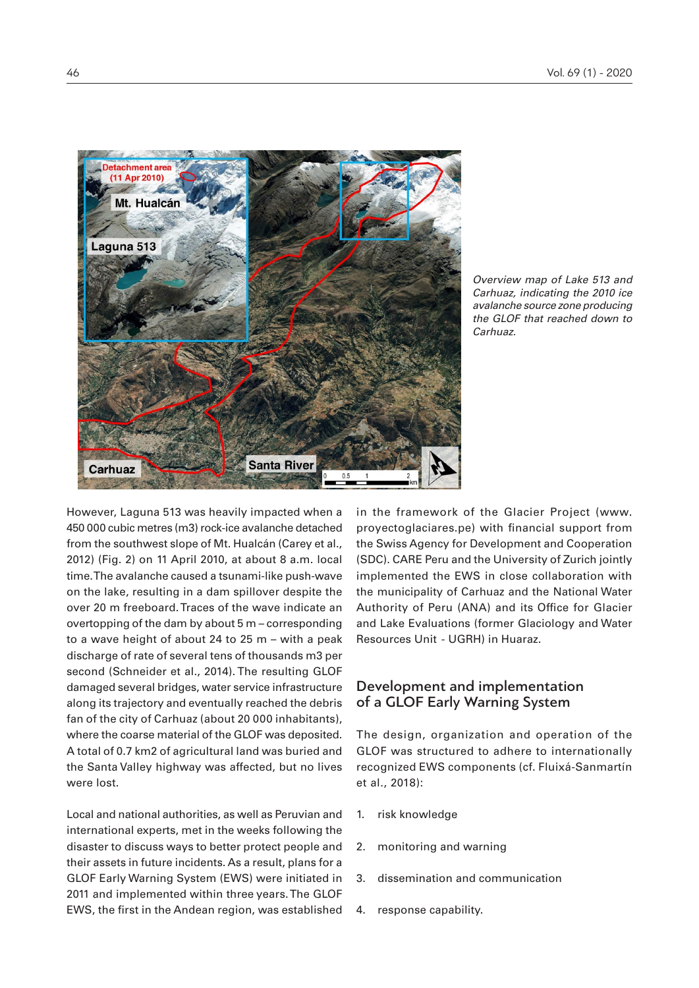

*Overview map of Lake 513 and Carhuaz, indicating the 2010 ice avalanche source zone producing the GLOF that reached down to Carhuaz.* 

However, Laguna 513 was heavily impacted when a 450 000 cubic metres (m3) rock-ice avalanche detached from the southwest slope of Mt. Hualcán (Carey et al., 2012) (Fig. 2) on 11 April 2010, at about 8 a.m. local time. The avalanche caused a tsunami-like push-wave on the lake, resulting in a dam spillover despite the over 20 m freeboard. Traces of the wave indicate an overtopping of the dam by about 5 m – corresponding to a wave height of about 24 to 25 m – with a peak discharge of rate of several tens of thousands m3 per second (Schneider et al., 2014). The resulting GLOF damaged several bridges, water service infrastructure along its trajectory and eventually reached the debris fan of the city of Carhuaz (about 20 000 inhabitants), where the coarse material of the GLOF was deposited. A total of 0.7 km2 of agricultural land was buried and the Santa Valley highway was affected, but no lives were lost.

Local and national authorities, as well as Peruvian and international experts, met in the weeks following the disaster to discuss ways to better protect people and their assets in future incidents. As a result, plans for a GLOF Early Warning System (EWS) were initiated in 2011 and implemented within three years. The GLOF EWS, the first in the Andean region, was established in the framework of the Glacier Project (www. proyectoglaciares.pe) with financial support from the Swiss Agency for Development and Cooperation (SDC). CARE Peru and the University of Zurich jointly implemented the EWS in close collaboration with the municipality of Carhuaz and the National Water Authority of Peru (ANA) and its Office for Glacier and Lake Evaluations (former Glaciology and Water Resources Unit - UGRH) in Huaraz.

# Development and implementation of a GLOF Early Warning System

The design, organization and operation of the GLOF was structured to adhere to internationally recognized EWS components (cf. Fluixá-Sanmartín et al., 2018):

- 1. risk knowledge
- 2. monitoring and warning
- 3. dissemination and communication
- 4. response capability.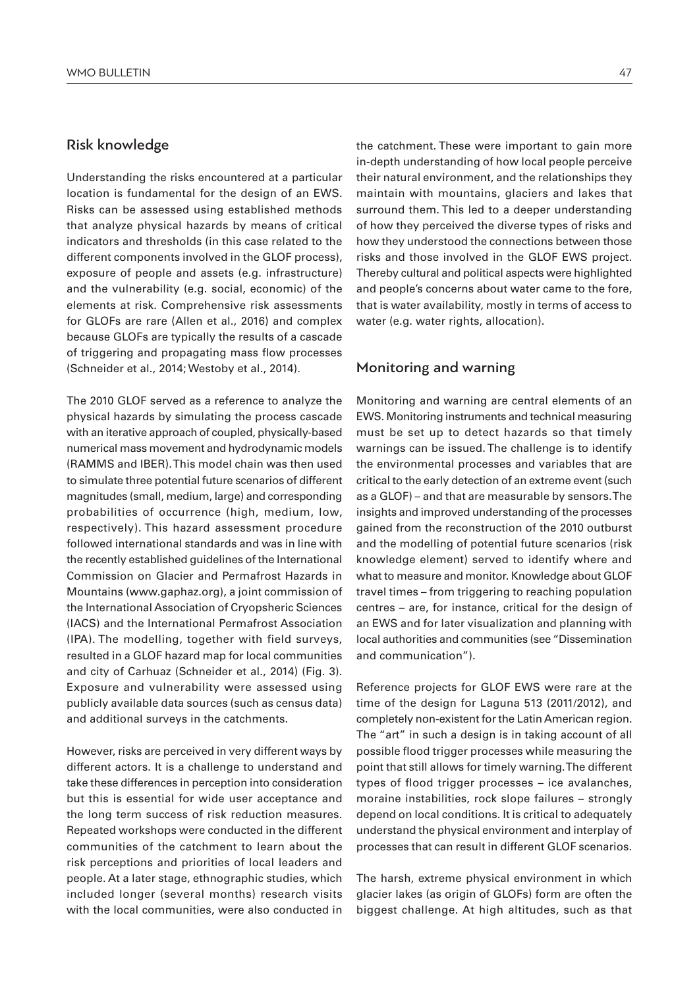#### Risk knowledge

Understanding the risks encountered at a particular location is fundamental for the design of an EWS. Risks can be assessed using established methods that analyze physical hazards by means of critical indicators and thresholds (in this case related to the different components involved in the GLOF process), exposure of people and assets (e.g. infrastructure) and the vulnerability (e.g. social, economic) of the elements at risk. Comprehensive risk assessments for GLOFs are rare (Allen et al., 2016) and complex because GLOFs are typically the results of a cascade of triggering and propagating mass flow processes (Schneider et al., 2014; Westoby et al., 2014).

The 2010 GLOF served as a reference to analyze the physical hazards by simulating the process cascade with an iterative approach of coupled, physically-based numerical mass movement and hydrodynamic models (RAMMS and IBER). This model chain was then used to simulate three potential future scenarios of different magnitudes (small, medium, large) and corresponding probabilities of occurrence (high, medium, low, respectively). This hazard assessment procedure followed international standards and was in line with the recently established guidelines of the International Commission on Glacier and Permafrost Hazards in Mountains (www.gaphaz.org), a joint commission of the International Association of Cryopsheric Sciences (IACS) and the International Permafrost Association (IPA). The modelling, together with field surveys, resulted in a GLOF hazard map for local communities and city of Carhuaz (Schneider et al., 2014) (Fig. 3). Exposure and vulnerability were assessed using publicly available data sources (such as census data) and additional surveys in the catchments.

However, risks are perceived in very different ways by different actors. It is a challenge to understand and take these differences in perception into consideration but this is essential for wide user acceptance and the long term success of risk reduction measures. Repeated workshops were conducted in the different communities of the catchment to learn about the risk perceptions and priorities of local leaders and people. At a later stage, ethnographic studies, which included longer (several months) research visits with the local communities, were also conducted in the catchment. These were important to gain more in-depth understanding of how local people perceive their natural environment, and the relationships they maintain with mountains, glaciers and lakes that surround them. This led to a deeper understanding of how they perceived the diverse types of risks and how they understood the connections between those risks and those involved in the GLOF EWS project. Thereby cultural and political aspects were highlighted and people's concerns about water came to the fore, that is water availability, mostly in terms of access to water (e.g. water rights, allocation).

#### Monitoring and warning

Monitoring and warning are central elements of an EWS. Monitoring instruments and technical measuring must be set up to detect hazards so that timely warnings can be issued. The challenge is to identify the environmental processes and variables that are critical to the early detection of an extreme event (such as a GLOF) – and that are measurable by sensors. The insights and improved understanding of the processes gained from the reconstruction of the 2010 outburst and the modelling of potential future scenarios (risk knowledge element) served to identify where and what to measure and monitor. Knowledge about GLOF travel times – from triggering to reaching population centres – are, for instance, critical for the design of an EWS and for later visualization and planning with local authorities and communities (see "Dissemination and communication").

Reference projects for GLOF EWS were rare at the time of the design for Laguna 513 (2011/2012), and completely non-existent for the Latin American region. The "art" in such a design is in taking account of all possible flood trigger processes while measuring the point that still allows for timely warning. The different types of flood trigger processes – ice avalanches, moraine instabilities, rock slope failures – strongly depend on local conditions. It is critical to adequately understand the physical environment and interplay of processes that can result in different GLOF scenarios.

The harsh, extreme physical environment in which glacier lakes (as origin of GLOFs) form are often the biggest challenge. At high altitudes, such as that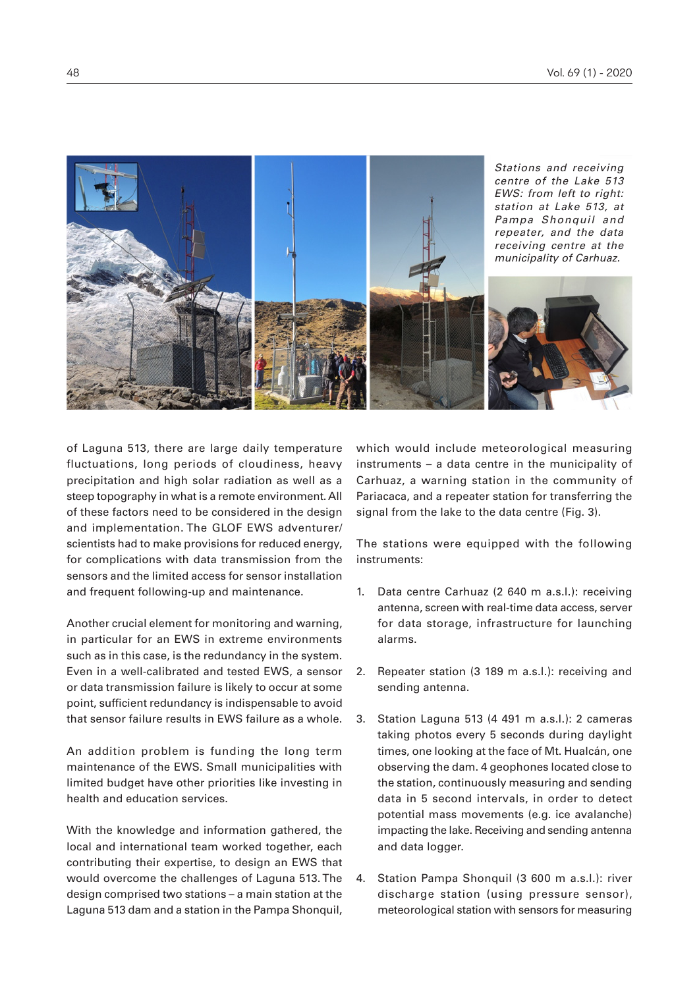

of Laguna 513, there are large daily temperature fluctuations, long periods of cloudiness, heavy precipitation and high solar radiation as well as a steep topography in what is a remote environment. All of these factors need to be considered in the design and implementation. The GLOF EWS adventurer/ scientists had to make provisions for reduced energy, for complications with data transmission from the sensors and the limited access for sensor installation and frequent following-up and maintenance.

Another crucial element for monitoring and warning, in particular for an EWS in extreme environments such as in this case, is the redundancy in the system. Even in a well-calibrated and tested EWS, a sensor or data transmission failure is likely to occur at some point, sufficient redundancy is indispensable to avoid that sensor failure results in EWS failure as a whole.

An addition problem is funding the long term maintenance of the EWS. Small municipalities with limited budget have other priorities like investing in health and education services.

With the knowledge and information gathered, the local and international team worked together, each contributing their expertise, to design an EWS that would overcome the challenges of Laguna 513. The design comprised two stations – a main station at the Laguna 513 dam and a station in the Pampa Shonquil,

which would include meteorological measuring instruments – a data centre in the municipality of Carhuaz, a warning station in the community of Pariacaca, and a repeater station for transferring the signal from the lake to the data centre (Fig. 3).

The stations were equipped with the following instruments:

- 1. Data centre Carhuaz (2 640 m a.s.l.): receiving antenna, screen with real-time data access, server for data storage, infrastructure for launching alarms.
- 2. Repeater station (3 189 m a.s.l.): receiving and sending antenna.
- 3. Station Laguna 513 (4 491 m a.s.l.): 2 cameras taking photos every 5 seconds during daylight times, one looking at the face of Mt. Hualcán, one observing the dam. 4 geophones located close to the station, continuously measuring and sending data in 5 second intervals, in order to detect potential mass movements (e.g. ice avalanche) impacting the lake. Receiving and sending antenna and data logger.
- 4. Station Pampa Shonquil (3 600 m a.s.l.): river discharge station (using pressure sensor), meteorological station with sensors for measuring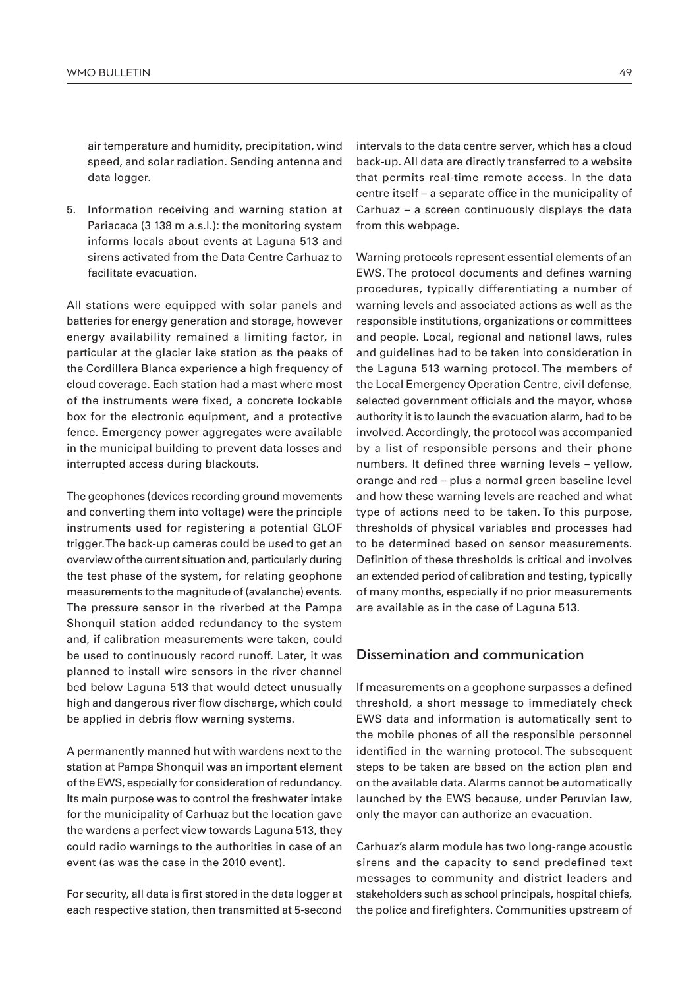air temperature and humidity, precipitation, wind speed, and solar radiation. Sending antenna and data logger.

5. Information receiving and warning station at Pariacaca (3 138 m a.s.l.): the monitoring system informs locals about events at Laguna 513 and sirens activated from the Data Centre Carhuaz to facilitate evacuation.

All stations were equipped with solar panels and batteries for energy generation and storage, however energy availability remained a limiting factor, in particular at the glacier lake station as the peaks of the Cordillera Blanca experience a high frequency of cloud coverage. Each station had a mast where most of the instruments were fixed, a concrete lockable box for the electronic equipment, and a protective fence. Emergency power aggregates were available in the municipal building to prevent data losses and interrupted access during blackouts.

The geophones (devices recording ground movements and converting them into voltage) were the principle instruments used for registering a potential GLOF trigger. The back-up cameras could be used to get an overview of the current situation and, particularly during the test phase of the system, for relating geophone measurements to the magnitude of (avalanche) events. The pressure sensor in the riverbed at the Pampa Shonquil station added redundancy to the system and, if calibration measurements were taken, could be used to continuously record runoff. Later, it was planned to install wire sensors in the river channel bed below Laguna 513 that would detect unusually high and dangerous river flow discharge, which could be applied in debris flow warning systems.

A permanently manned hut with wardens next to the station at Pampa Shonquil was an important element of the EWS, especially for consideration of redundancy. Its main purpose was to control the freshwater intake for the municipality of Carhuaz but the location gave the wardens a perfect view towards Laguna 513, they could radio warnings to the authorities in case of an event (as was the case in the 2010 event).

For security, all data is first stored in the data logger at each respective station, then transmitted at 5-second intervals to the data centre server, which has a cloud back-up. All data are directly transferred to a website that permits real-time remote access. In the data centre itself – a separate office in the municipality of Carhuaz – a screen continuously displays the data from this webpage.

Warning protocols represent essential elements of an EWS. The protocol documents and defines warning procedures, typically differentiating a number of warning levels and associated actions as well as the responsible institutions, organizations or committees and people. Local, regional and national laws, rules and guidelines had to be taken into consideration in the Laguna 513 warning protocol. The members of the Local Emergency Operation Centre, civil defense, selected government officials and the mayor, whose authority it is to launch the evacuation alarm, had to be involved. Accordingly, the protocol was accompanied by a list of responsible persons and their phone numbers. It defined three warning levels – yellow, orange and red – plus a normal green baseline level and how these warning levels are reached and what type of actions need to be taken. To this purpose, thresholds of physical variables and processes had to be determined based on sensor measurements. Definition of these thresholds is critical and involves an extended period of calibration and testing, typically of many months, especially if no prior measurements are available as in the case of Laguna 513.

#### Dissemination and communication

If measurements on a geophone surpasses a defined threshold, a short message to immediately check EWS data and information is automatically sent to the mobile phones of all the responsible personnel identified in the warning protocol. The subsequent steps to be taken are based on the action plan and on the available data. Alarms cannot be automatically launched by the EWS because, under Peruvian law, only the mayor can authorize an evacuation.

Carhuaz's alarm module has two long-range acoustic sirens and the capacity to send predefined text messages to community and district leaders and stakeholders such as school principals, hospital chiefs, the police and firefighters. Communities upstream of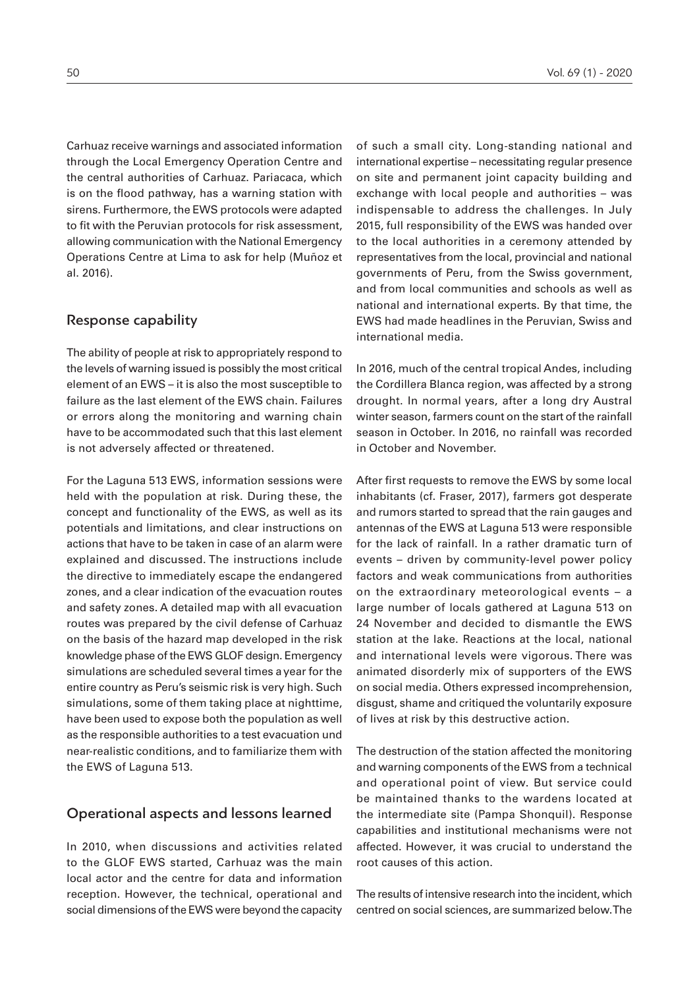Carhuaz receive warnings and associated information through the Local Emergency Operation Centre and the central authorities of Carhuaz. Pariacaca, which is on the flood pathway, has a warning station with sirens. Furthermore, the EWS protocols were adapted to fit with the Peruvian protocols for risk assessment, allowing communication with the National Emergency Operations Centre at Lima to ask for help (Muñoz et al. 2016).

#### Response capability

The ability of people at risk to appropriately respond to the levels of warning issued is possibly the most critical element of an EWS – it is also the most susceptible to failure as the last element of the EWS chain. Failures or errors along the monitoring and warning chain have to be accommodated such that this last element is not adversely affected or threatened.

For the Laguna 513 EWS, information sessions were held with the population at risk. During these, the concept and functionality of the EWS, as well as its potentials and limitations, and clear instructions on actions that have to be taken in case of an alarm were explained and discussed. The instructions include the directive to immediately escape the endangered zones, and a clear indication of the evacuation routes and safety zones. A detailed map with all evacuation routes was prepared by the civil defense of Carhuaz on the basis of the hazard map developed in the risk knowledge phase of the EWS GLOF design. Emergency simulations are scheduled several times a year for the entire country as Peru's seismic risk is very high. Such simulations, some of them taking place at nighttime, have been used to expose both the population as well as the responsible authorities to a test evacuation und near-realistic conditions, and to familiarize them with the EWS of Laguna 513.

## Operational aspects and lessons learned

In 2010, when discussions and activities related to the GLOF EWS started, Carhuaz was the main local actor and the centre for data and information reception. However, the technical, operational and social dimensions of the EWS were beyond the capacity of such a small city. Long-standing national and international expertise – necessitating regular presence on site and permanent joint capacity building and exchange with local people and authorities – was indispensable to address the challenges. In July 2015, full responsibility of the EWS was handed over to the local authorities in a ceremony attended by representatives from the local, provincial and national governments of Peru, from the Swiss government, and from local communities and schools as well as national and international experts. By that time, the EWS had made headlines in the Peruvian, Swiss and international media.

In 2016, much of the central tropical Andes, including the Cordillera Blanca region, was affected by a strong drought. In normal years, after a long dry Austral winter season, farmers count on the start of the rainfall season in October. In 2016, no rainfall was recorded in October and November.

After first requests to remove the EWS by some local inhabitants (cf. Fraser, 2017), farmers got desperate and rumors started to spread that the rain gauges and antennas of the EWS at Laguna 513 were responsible for the lack of rainfall. In a rather dramatic turn of events – driven by community-level power policy factors and weak communications from authorities on the extraordinary meteorological events – a large number of locals gathered at Laguna 513 on 24 November and decided to dismantle the EWS station at the lake. Reactions at the local, national and international levels were vigorous. There was animated disorderly mix of supporters of the EWS on social media. Others expressed incomprehension, disgust, shame and critiqued the voluntarily exposure of lives at risk by this destructive action.

The destruction of the station affected the monitoring and warning components of the EWS from a technical and operational point of view. But service could be maintained thanks to the wardens located at the intermediate site (Pampa Shonquil). Response capabilities and institutional mechanisms were not affected. However, it was crucial to understand the root causes of this action.

The results of intensive research into the incident, which centred on social sciences, are summarized below. The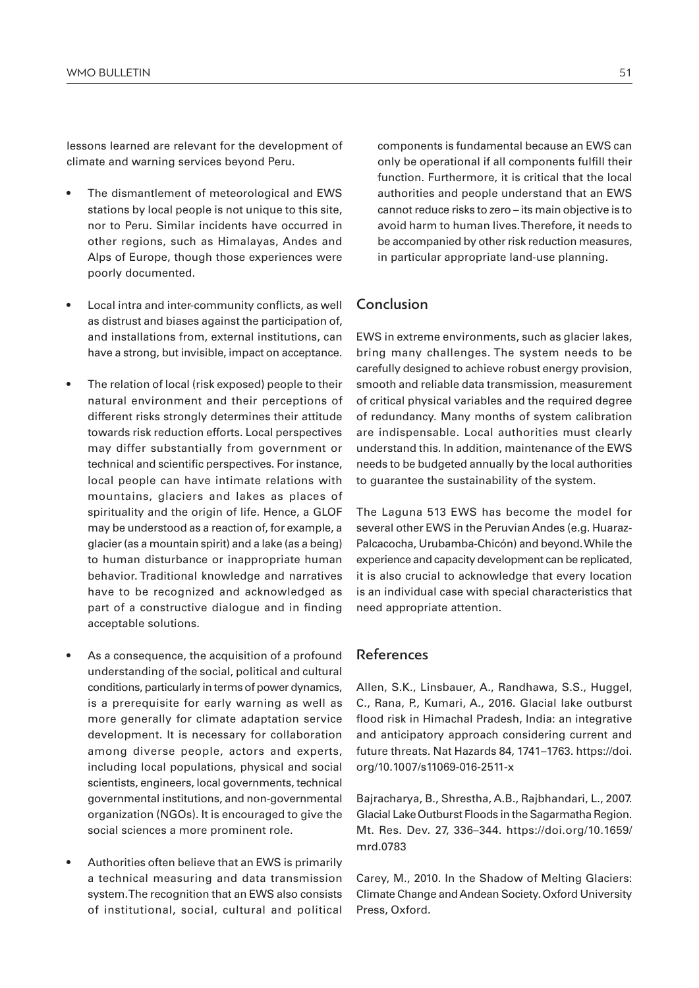lessons learned are relevant for the development of climate and warning services beyond Peru.

- The dismantlement of meteorological and EWS stations by local people is not unique to this site, nor to Peru. Similar incidents have occurred in other regions, such as Himalayas, Andes and Alps of Europe, though those experiences were poorly documented.
- Local intra and inter-community conflicts, as well as distrust and biases against the participation of, and installations from, external institutions, can have a strong, but invisible, impact on acceptance.
- The relation of local (risk exposed) people to their natural environment and their perceptions of different risks strongly determines their attitude towards risk reduction efforts. Local perspectives may differ substantially from government or technical and scientific perspectives. For instance, local people can have intimate relations with mountains, glaciers and lakes as places of spirituality and the origin of life. Hence, a GLOF may be understood as a reaction of, for example, a glacier (as a mountain spirit) and a lake (as a being) to human disturbance or inappropriate human behavior. Traditional knowledge and narratives have to be recognized and acknowledged as part of a constructive dialogue and in finding acceptable solutions.
- As a consequence, the acquisition of a profound understanding of the social, political and cultural conditions, particularly in terms of power dynamics, is a prerequisite for early warning as well as more generally for climate adaptation service development. It is necessary for collaboration among diverse people, actors and experts, including local populations, physical and social scientists, engineers, local governments, technical governmental institutions, and non-governmental organization (NGOs). It is encouraged to give the social sciences a more prominent role.
- Authorities often believe that an EWS is primarily a technical measuring and data transmission system. The recognition that an EWS also consists of institutional, social, cultural and political

components is fundamental because an EWS can only be operational if all components fulfill their function. Furthermore, it is critical that the local authorities and people understand that an EWS cannot reduce risks to zero – its main objective is to avoid harm to human lives. Therefore, it needs to be accompanied by other risk reduction measures, in particular appropriate land-use planning.

## Conclusion

EWS in extreme environments, such as glacier lakes, bring many challenges. The system needs to be carefully designed to achieve robust energy provision, smooth and reliable data transmission, measurement of critical physical variables and the required degree of redundancy. Many months of system calibration are indispensable. Local authorities must clearly understand this. In addition, maintenance of the EWS needs to be budgeted annually by the local authorities to guarantee the sustainability of the system.

The Laguna 513 EWS has become the model for several other EWS in the Peruvian Andes (e.g. Huaraz-Palcacocha, Urubamba-Chicón) and beyond. While the experience and capacity development can be replicated, it is also crucial to acknowledge that every location is an individual case with special characteristics that need appropriate attention.

## References

Allen, S.K., Linsbauer, A., Randhawa, S.S., Huggel, C., Rana, P., Kumari, A., 2016. Glacial lake outburst flood risk in Himachal Pradesh, India: an integrative and anticipatory approach considering current and future threats. Nat Hazards 84, 1741–1763. https://doi. org/10.1007/s11069-016-2511-x

Bajracharya, B., Shrestha, A.B., Rajbhandari, L., 2007. Glacial Lake Outburst Floods in the Sagarmatha Region. Mt. Res. Dev. 27, 336–344. https://doi.org/10.1659/ mrd.0783

Carey, M., 2010. In the Shadow of Melting Glaciers: Climate Change and Andean Society. Oxford University Press, Oxford.